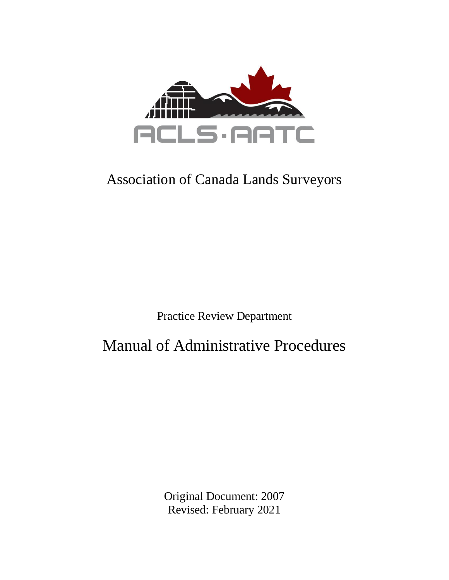

# Association of Canada Lands Surveyors

Practice Review Department

Manual of Administrative Procedures

Original Document: 2007 Revised: February 2021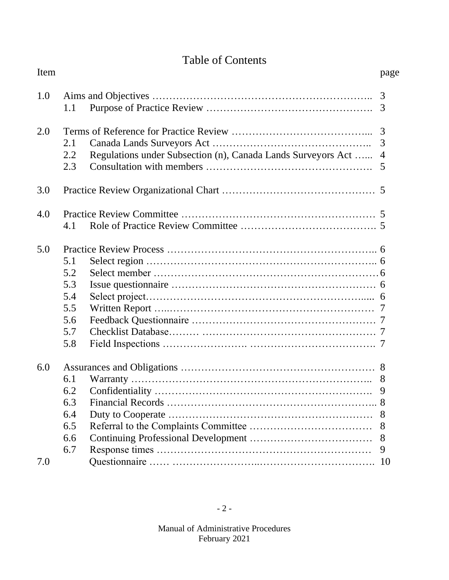# Table of Contents

| Item |     |                                                              | page           |
|------|-----|--------------------------------------------------------------|----------------|
| 1.0  | 1.1 |                                                              | 3              |
|      |     |                                                              |                |
| 2.0  |     |                                                              | 3              |
|      | 2.1 |                                                              | 3              |
|      | 2.2 | Regulations under Subsection (n), Canada Lands Surveyors Act | $\overline{4}$ |
|      | 2.3 |                                                              | 5              |
| 3.0  |     |                                                              |                |
| 4.0  |     |                                                              |                |
|      | 4.1 |                                                              |                |
| 5.0  |     |                                                              |                |
|      | 5.1 |                                                              |                |
|      | 5.2 |                                                              |                |
|      | 5.3 |                                                              |                |
|      | 5.4 |                                                              |                |
|      | 5.5 |                                                              |                |
|      | 5.6 |                                                              |                |
|      | 5.7 |                                                              |                |
|      | 5.8 |                                                              |                |
| 6.0  |     |                                                              |                |
|      | 6.1 |                                                              | 8              |
|      | 6.2 |                                                              | 9              |
|      | 6.3 |                                                              |                |
|      | 6.4 |                                                              | 8              |
|      | 6.5 |                                                              | 8              |
|      | 6.6 |                                                              | 8              |
|      | 6.7 |                                                              | 9              |
| 7.0  |     |                                                              | 10             |
|      |     |                                                              |                |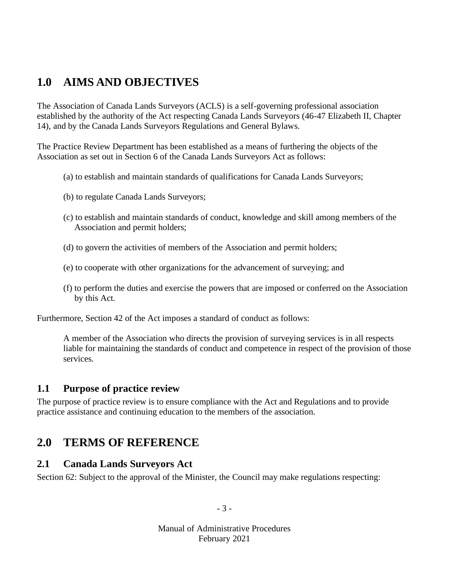# **1.0 AIMS AND OBJECTIVES**

The Association of Canada Lands Surveyors (ACLS) is a self-governing professional association established by the authority of the Act respecting Canada Lands Surveyors (46-47 Elizabeth II, Chapter 14), and by the Canada Lands Surveyors Regulations and General Bylaws.

The Practice Review Department has been established as a means of furthering the objects of the Association as set out in Section 6 of the Canada Lands Surveyors Act as follows:

- (a) to establish and maintain standards of qualifications for Canada Lands Surveyors;
- (b) to regulate Canada Lands Surveyors;
- (c) to establish and maintain standards of conduct, knowledge and skill among members of the Association and permit holders;
- (d) to govern the activities of members of the Association and permit holders;
- (e) to cooperate with other organizations for the advancement of surveying; and
- (f) to perform the duties and exercise the powers that are imposed or conferred on the Association by this Act.

Furthermore, Section 42 of the Act imposes a standard of conduct as follows:

A member of the Association who directs the provision of surveying services is in all respects liable for maintaining the standards of conduct and competence in respect of the provision of those services.

#### **1.1 Purpose of practice review**

The purpose of practice review is to ensure compliance with the Act and Regulations and to provide practice assistance and continuing education to the members of the association.

## **2.0 TERMS OF REFERENCE**

#### **2.1 Canada Lands Surveyors Act**

Section 62: Subject to the approval of the Minister, the Council may make regulations respecting:

- 3 -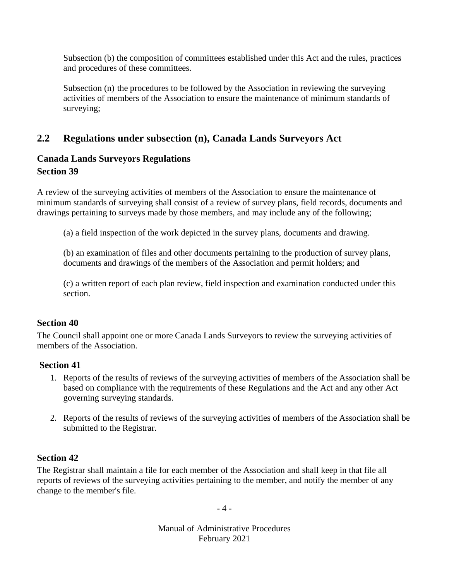Subsection (b) the composition of committees established under this Act and the rules, practices and procedures of these committees.

Subsection (n) the procedures to be followed by the Association in reviewing the surveying activities of members of the Association to ensure the maintenance of minimum standards of surveying;

### **2.2 Regulations under subsection (n), Canada Lands Surveyors Act**

### **Canada Lands Surveyors Regulations Section 39**

A review of the surveying activities of members of the Association to ensure the maintenance of minimum standards of surveying shall consist of a review of survey plans, field records, documents and drawings pertaining to surveys made by those members, and may include any of the following;

(a) a field inspection of the work depicted in the survey plans, documents and drawing.

(b) an examination of files and other documents pertaining to the production of survey plans, documents and drawings of the members of the Association and permit holders; and

(c) a written report of each plan review, field inspection and examination conducted under this section.

#### **Section 40**

The Council shall appoint one or more Canada Lands Surveyors to review the surveying activities of members of the Association.

#### **Section 41**

- 1. Reports of the results of reviews of the surveying activities of members of the Association shall be based on compliance with the requirements of these Regulations and the Act and any other Act governing surveying standards.
- 2. Reports of the results of reviews of the surveying activities of members of the Association shall be submitted to the Registrar.

#### **Section 42**

The Registrar shall maintain a file for each member of the Association and shall keep in that file all reports of reviews of the surveying activities pertaining to the member, and notify the member of any change to the member's file.

- 4 -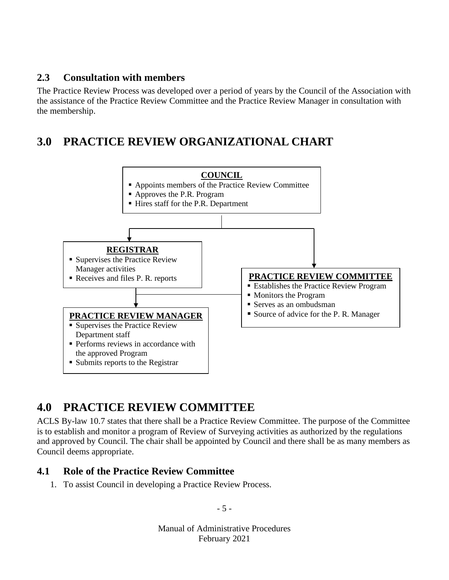#### **2.3 Consultation with members**

The Practice Review Process was developed over a period of years by the Council of the Association with the assistance of the Practice Review Committee and the Practice Review Manager in consultation with the membership.

# **3.0 PRACTICE REVIEW ORGANIZATIONAL CHART**



# **4.0 PRACTICE REVIEW COMMITTEE**

ACLS By-law 10.7 states that there shall be a Practice Review Committee. The purpose of the Committee is to establish and monitor a program of Review of Surveying activities as authorized by the regulations and approved by Council. The chair shall be appointed by Council and there shall be as many members as Council deems appropriate.

#### **4.1 Role of the Practice Review Committee**

1. To assist Council in developing a Practice Review Process.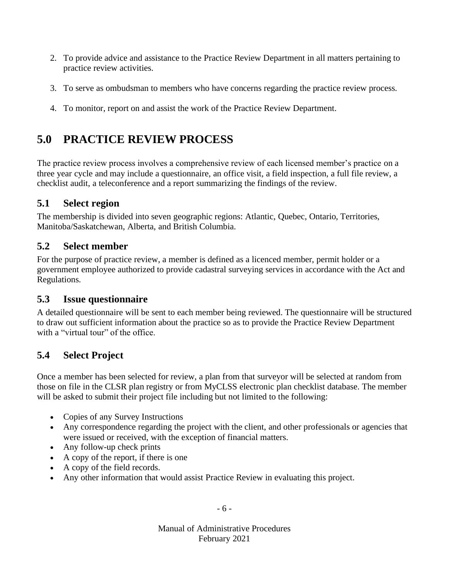- 2. To provide advice and assistance to the Practice Review Department in all matters pertaining to practice review activities.
- 3. To serve as ombudsman to members who have concerns regarding the practice review process.
- 4. To monitor, report on and assist the work of the Practice Review Department.

# **5.0 PRACTICE REVIEW PROCESS**

The practice review process involves a comprehensive review of each licensed member's practice on a three year cycle and may include a questionnaire, an office visit, a field inspection, a full file review, a checklist audit, a teleconference and a report summarizing the findings of the review.

### **5.1 Select region**

The membership is divided into seven geographic regions: Atlantic, Quebec, Ontario, Territories, Manitoba/Saskatchewan, Alberta, and British Columbia.

### **5.2 Select member**

For the purpose of practice review, a member is defined as a licenced member, permit holder or a government employee authorized to provide cadastral surveying services in accordance with the Act and Regulations.

### **5.3 Issue questionnaire**

A detailed questionnaire will be sent to each member being reviewed. The questionnaire will be structured to draw out sufficient information about the practice so as to provide the Practice Review Department with a "virtual tour" of the office.

### **5.4 Select Project**

Once a member has been selected for review, a plan from that surveyor will be selected at random from those on file in the CLSR plan registry or from MyCLSS electronic plan checklist database. The member will be asked to submit their project file including but not limited to the following:

- Copies of any Survey Instructions
- Any correspondence regarding the project with the client, and other professionals or agencies that were issued or received, with the exception of financial matters.
- Any follow-up check prints
- A copy of the report, if there is one
- A copy of the field records.
- Any other information that would assist Practice Review in evaluating this project.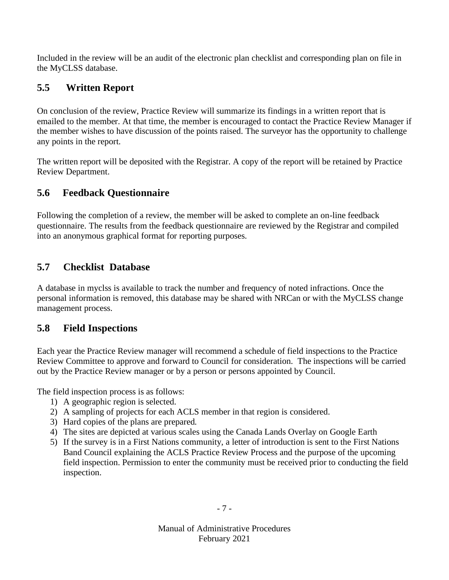Included in the review will be an audit of the electronic plan checklist and corresponding plan on file in the MyCLSS database.

### **5.5 Written Report**

On conclusion of the review, Practice Review will summarize its findings in a written report that is emailed to the member. At that time, the member is encouraged to contact the Practice Review Manager if the member wishes to have discussion of the points raised. The surveyor has the opportunity to challenge any points in the report.

The written report will be deposited with the Registrar. A copy of the report will be retained by Practice Review Department.

### **5.6 Feedback Questionnaire**

Following the completion of a review, the member will be asked to complete an on-line feedback questionnaire. The results from the feedback questionnaire are reviewed by the Registrar and compiled into an anonymous graphical format for reporting purposes.

### **5.7 Checklist Database**

A database in myclss is available to track the number and frequency of noted infractions. Once the personal information is removed, this database may be shared with NRCan or with the MyCLSS change management process.

#### **5.8 Field Inspections**

Each year the Practice Review manager will recommend a schedule of field inspections to the Practice Review Committee to approve and forward to Council for consideration. The inspections will be carried out by the Practice Review manager or by a person or persons appointed by Council.

The field inspection process is as follows:

- 1) A geographic region is selected.
- 2) A sampling of projects for each ACLS member in that region is considered.
- 3) Hard copies of the plans are prepared.
- 4) The sites are depicted at various scales using the Canada Lands Overlay on Google Earth
- 5) If the survey is in a First Nations community, a letter of introduction is sent to the First Nations Band Council explaining the ACLS Practice Review Process and the purpose of the upcoming field inspection. Permission to enter the community must be received prior to conducting the field inspection.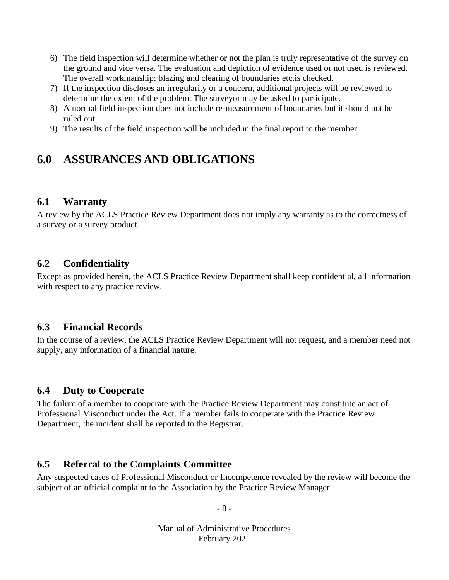- 6) The field inspection will determine whether or not the plan is truly representative of the survey on the ground and vice versa. The evaluation and depiction of evidence used or not used is reviewed. The overall workmanship; blazing and clearing of boundaries etc.is checked.
- 7) If the inspection discloses an irregularity or a concern, additional projects will be reviewed to determine the extent of the problem. The surveyor may be asked to participate.
- 8) A normal field inspection does not include re-measurement of boundaries but it should not be ruled out.
- 9) The results of the field inspection will be included in the final report to the member.

# **6.0 ASSURANCES AND OBLIGATIONS**

#### **6.1 Warranty**

A review by the ACLS Practice Review Department does not imply any warranty as to the correctness of a survey or a survey product.

### **6.2 Confidentiality**

Except as provided herein, the ACLS Practice Review Department shall keep confidential, all information with respect to any practice review.

#### **6.3 Financial Records**

In the course of a review, the ACLS Practice Review Department will not request, and a member need not supply, any information of a financial nature.

#### **6.4 Duty to Cooperate**

The failure of a member to cooperate with the Practice Review Department may constitute an act of Professional Misconduct under the Act. If a member fails to cooperate with the Practice Review Department, the incident shall be reported to the Registrar.

#### **6.5 Referral to the Complaints Committee**

Any suspected cases of Professional Misconduct or Incompetence revealed by the review will become the subject of an official complaint to the Association by the Practice Review Manager.

- 8 -